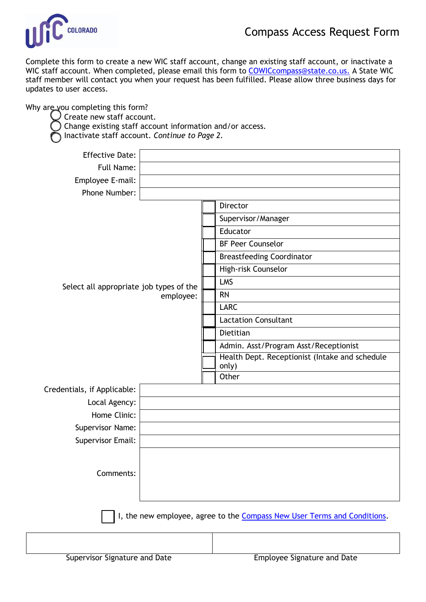

Complete this form to create a new WIC staff account, change an existing staff account, or inactivate a WIC staff account. When completed, please email this form to [COWICcompass@state.co.us.](mailto:COWICcompass@state.co.us) A State WIC staff member will contact you when your request has been fulfilled. Please allow three business days for updates to user access.

Why are you completing this form?

Create new staff account.

) Change existing staff account information and/or access.

o Inactivate staff account. *Continue to Page 2.*

| <b>Effective Date:</b>                                                   |  |  |                                                |  |
|--------------------------------------------------------------------------|--|--|------------------------------------------------|--|
| Full Name:                                                               |  |  |                                                |  |
| Employee E-mail:                                                         |  |  |                                                |  |
| Phone Number:                                                            |  |  |                                                |  |
|                                                                          |  |  | Director                                       |  |
| Select all appropriate job types of the<br>employee:                     |  |  | Supervisor/Manager                             |  |
|                                                                          |  |  | Educator                                       |  |
|                                                                          |  |  | <b>BF Peer Counselor</b>                       |  |
|                                                                          |  |  | <b>Breastfeeding Coordinator</b>               |  |
|                                                                          |  |  | High-risk Counselor                            |  |
|                                                                          |  |  | LMS                                            |  |
|                                                                          |  |  | <b>RN</b>                                      |  |
|                                                                          |  |  | <b>LARC</b>                                    |  |
|                                                                          |  |  | <b>Lactation Consultant</b>                    |  |
|                                                                          |  |  | Dietitian                                      |  |
|                                                                          |  |  | Admin. Asst/Program Asst/Receptionist          |  |
|                                                                          |  |  | Health Dept. Receptionist (Intake and schedule |  |
|                                                                          |  |  | only)<br>Other                                 |  |
| Credentials, if Applicable:                                              |  |  |                                                |  |
| Local Agency:                                                            |  |  |                                                |  |
| Home Clinic:                                                             |  |  |                                                |  |
| Supervisor Name:                                                         |  |  |                                                |  |
| <b>Supervisor Email:</b>                                                 |  |  |                                                |  |
|                                                                          |  |  |                                                |  |
|                                                                          |  |  |                                                |  |
| Comments:                                                                |  |  |                                                |  |
|                                                                          |  |  |                                                |  |
|                                                                          |  |  |                                                |  |
| I, the new employee, agree to the Compass New User Terms and Conditions. |  |  |                                                |  |
|                                                                          |  |  |                                                |  |
|                                                                          |  |  |                                                |  |